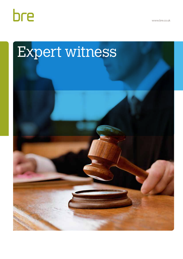

www.bre.co.uk

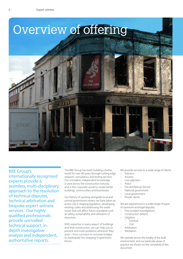

## BRE Group's

internationally recognised experts provide a seamless, multi-disciplinary approach to the resolution of technical disputes, technical arbitration and bespoke expert witness services. Our highly qualified professionals provide unrivalled technical support, indepth investigative analysis and independent, authoritative reports.

The BRE Group has been building a better world for over 90 years through cutting edge research, consultancy and testing services. Our unrivalled, independent knowledge is used across the construction industry and in the corporate world to create better buildings, communities and businesses.

Our history of working alongside local and central government means we have taken an active role in shaping legislation, developing existing codes and addressing the wider issues that will affect future standards such as safety, sustainability and utilisation of resources.

With expertise in every aspect of buildings and their construction, we can help you to prevent and solve problems wherever they arise – from corrosion in concrete bridges to inadequate fire stopping in apartment blocks.

We provide services to a wide range of clients

- **Solicitors**
- **Insurers**
- Loss adjusters
- Police
- Fire and Rescue Service
- National government
- Local government
- Private clients

We are experienced in a wide range of types of casework and legal disputes

- Post incident investigations
- Construction defects
	- **Litigation** 
		- Criminal
	- Civil
- Arbitration
- **Mediation**

We operate across the totality of the built environment; and our particular areas of practice are shown on the centrefold of this document.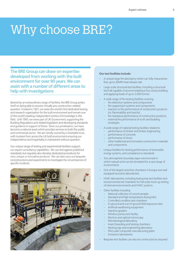# Why choose BRE?

The BRE Group can draw on expertise developed from working with the built environment for over 90 years. We can assist with a number of different areas to help with investigations

Backed by an extraordinary range of facilities, the BRE Group prides itself on being able to answer virtually any construction-related question. Created in 1921, we were the world's first dedicated testing and research organisation for the built environment and remain one of the world's leading, independent centres of knowledge in this field. Until 1997, we were part of UK Government, supporting the Building Regulations and related legislation and developing standards and guidance in support of those. Since our privatisation, we have become a national asset which provides services to both the public and commercial sector. We are wholly owned by a charitable trust, with trustees from across the UK built environment ensuring our independence and impartiality is maintained without question.

Our unique range of testing and experimental facilities support our expert consultancy capabilities. We can test against published standards, but regularly also develop dedicated procedures for new, unique or innovative products. We can also carry out bespoke reconstructions and experiments to investigate the circumstances of specific incidents.



## **Our test facilities include:**

- A unique large fire laboratory which can fully characterise fires up to 20MW heat release rate
- Large scale structural test facilities, including a structural test hall capable of accommodating a four storey building and applying loads of up to 2,500 tonnes
- A wide range of fire testing facilities covering
	- fire detection systems and components
	- fire suppression systems and components
	- reaction to fire performance of construction products (i.e. flammability and toxicity)
	- fire resistance performance of construction products
	- external fire performance of roofs and building envelopes
- A wide range of material testing facilities related to
	- performance of timber and timber engineering
	- performance of concrete
	- performance of stone
	- other traditional and innovative construction materials and components
- Unique facilities for testing performance of renewable energy systems, and compliance to standards
- Two atmospheric boundary layer wind tunnels in which natural wind can be simulated for a vast range of environments
- One of the largest anechoic chambers in Europe and well equipped acoustics laboratories
- HVAC laboratories, including heat pump test facilities and environmental test chambers for full scale mock up testing of internal environments and HVAC systems
- Other facilities including
	- National collection of wood samples
	- Standard and high temperature drying kilns
	- Controlled condition test chambers
	- In-ground and out-of-ground field exposure sites
	- Artificial weathering equipment
	- Machine graders
	- Window joinery test facility
	- Electron and optical microscopy
	- Microbiological laboratory
	- Insect breeding and testing chambers
	- Racking rigs and engineering laboratory
	- Pilot scale composite manufacturing plant
	- Emissions laboratories
- Bespoke test facilities can also be constructed as required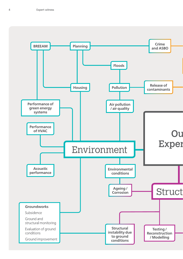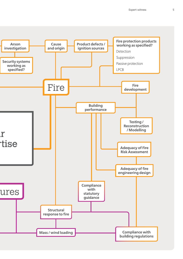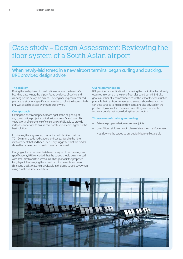## Case study – Design Assessment: Reviewing the floor system of a South Asian airport

## When newly-laid screed in a new airport terminal began curling and cracking, BRE provided design advice.

## **The problem**

During the early phase of construction of one of the terminal's boarding gate wings, the airport found evidence of curling and cracking on the newly-laid screed. The engineering contractor had prepared a structural specification in order to solve the issues, which BRE was asked to assess by the airport's owner.

### **Our approach**

Getting the briefs and specifications right at the beginning of any construction project is critical to its success. Drawing on 90 years' worth of experience of consultancy, BRE is able to provide independent advice to ensure that construction teams agree on the best solutions.

In this case, the engineering contractor had identified that the 70 – 90 mm screeds had cracked and curled, despite the fibre reinforcement that had been used. They suggested that the cracks should be repaired and screeding works continued.

Carrying out an extensive desk-based analysis of the drawings and specifications, BRE concluded that the screed should be reinforced with steel mesh and the screed mix changed to fit the proposed tiling layout. By changing the screed mix, it is possible to control shrinkage cracks that are unavoidable in the large screed bays when using a wet-concrete screed mix.

#### **Our recommendation**

BRE provided a specification for repairing the cracks that had already occurred in order that the stone floor tiles could be laid. BRE also gave a number of recommendations for the rest of the construction, primarily that semi-dry cement sand screeds should replace wet concrete screeds to minimise shrinkage. BRE also advised on the position of joints within the screeds and tiling and on specific technical details that arose during the construction.

## **Three causes of cracking and curling**

- Failure to properly design movement joints
- Use of fibre reinforcement in place of steel mesh reinforcement
- Not allowing the screed to dry out fully before tiles are laid

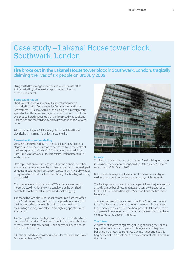## Case study – Lakanal House tower block, Southwark, London

## Fire broke out in the Lakanal House tower block in Southwark, London, tragically claiming the lives of six people on 3rd July 2009.

Using trusted knowledge, expertise and world-class facilities, BRE provided key evidence during the investigation and subsequent inquest.

## **Scene examination**

Shortly after the fire, our forensic fire investigations team was called in by the Department for Communities and Local Government (DCLG) to examine the building and investigate the spread of fire. The scene investigation lasted for over a month and evidence gathered suggested that the fire spread was quick and unexpected and moved downwards as well as up to involve other floors.

A London Fire Brigade (LFB) investigation established that an electrical fault in a ninth floor flat started the fire.

## **Reconstruction and modelling**

We were commissioned by the Metropolitan Police and LFB to stage a full-scale reconstruction of part of the flat at the centre of the investigations in March 2010. The structure was built in our Burn Hall in Watford, one of the largest fire test laboratories of its kind in Europe.

Data captured from our fire reconstruction and a number of other small-scale fire tests fed into the study using our in-house-developed computer modelling fire investigation software, JASMINE, allowing us to explain why fire and smoke spread through the building in the way that they did.

Our computational fluid dynamics (CFD) software was used to model the way in which the wind conditions at the time had contributed to this rapid fire spread and smoke logging.

This modelling was also used, under commission from the Office of the Chief Fire and Rescue Advisor, to explain how smoke from the fire affected the stairwell throughout the entire height of the building and may have affected fire-fighting operations and evacuation.

The findings from our investigations were used to help build up a timeline of the incident. The report of our findings was submitted to the Metropolitan Police and LFB and became a key part of the evidence at the inquest.

BRE also provided expert witness reports for the Police and Crown Prosecution Service (CPS).



## **Inquest**

The fire at Lakanal led to one of the largest fire death inquests seen in Britain for many years and ran from the 14th January 2013 to its conclusion on 28th March 2013.

BRE provided an expert witness report to the coroner and gave evidence from our investigations on three days at the inquest.

The findings from our investigations helped inform the jury's verdicts as well as a number of recommendations sent by the coroner to the LFB, DCLG, London Borough of Southwark and the Fire Sector Federation.

These recommendations are sent under Rule 43 of the Coroner's Rules. The Rule states that the coroner may report circumstances to a person who they believe may have power to take action to try and prevent future repetition of the circumstances which may have contributed to the deaths in this case.

## **The future**

A number of shortcomings brought to light during the Lakanal inquest will ultimately bring about changes in how high rise buildings are protected from fire. Our investigations into this tragic case will help contribute to the creation of safer homes in the future.